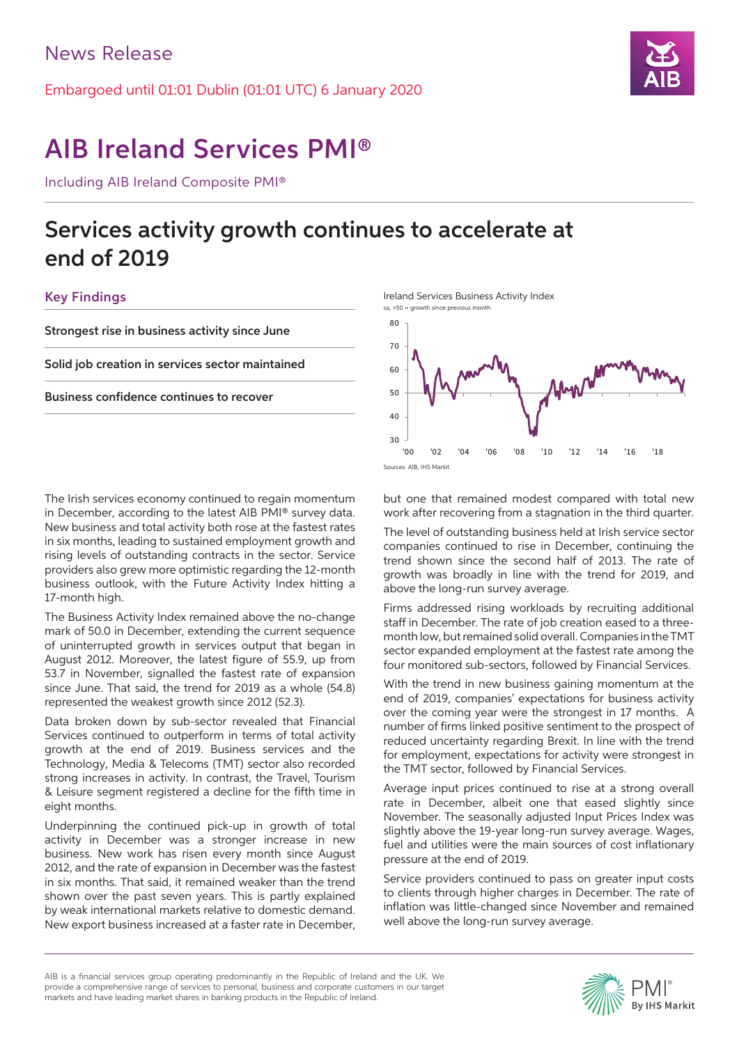Embargoed until 01:01 Dublin (01:01 UTC) 6 January 2020



# AIB Ireland Services PMI®

Including AIB Ireland Composite PMI®

## Services activity growth continues to accelerate at end of 2019

## Key Findings

Strongest rise in business activity since June

Solid job creation in services sector maintained

Business confidence continues to recover

The Irish services economy continued to regain momentum in December, according to the latest AIB PMI® survey data. New business and total activity both rose at the fastest rates in six months, leading to sustained employment growth and rising levels of outstanding contracts in the sector. Service providers also grew more optimistic regarding the 12-month business outlook, with the Future Activity Index hitting a 17-month high.

The Business Activity Index remained above the no-change mark of 50.0 in December, extending the current sequence of uninterrupted growth in services output that began in August 2012. Moreover, the latest figure of 55.9, up from 53.7 in November, signalled the fastest rate of expansion since June. That said, the trend for 2019 as a whole (54.8) represented the weakest growth since 2012 (52.3).

Data broken down by sub-sector revealed that Financial Services continued to outperform in terms of total activity growth at the end of 2019. Business services and the Technology, Media & Telecoms (TMT) sector also recorded strong increases in activity. In contrast, the Travel, Tourism & Leisure segment registered a decline for the fifth time in eight months.

Underpinning the continued pick-up in growth of total activity in December was a stronger increase in new business. New work has risen every month since August 2012, and the rate of expansion in December was the fastest in six months. That said, it remained weaker than the trend shown over the past seven years. This is partly explained by weak international markets relative to domestic demand. New export business increased at a faster rate in December, Ireland Services Business Activity Index



but one that remained modest compared with total new work after recovering from a stagnation in the third quarter.

The level of outstanding business held at Irish service sector companies continued to rise in December, continuing the trend shown since the second half of 2013. The rate of growth was broadly in line with the trend for 2019, and above the long-run survey average.

Firms addressed rising workloads by recruiting additional staff in December. The rate of job creation eased to a threemonth low, but remained solid overall. Companies in the TMT sector expanded employment at the fastest rate among the four monitored sub-sectors, followed by Financial Services.

With the trend in new business gaining momentum at the end of 2019, companies' expectations for business activity over the coming year were the strongest in 17 months. A number of firms linked positive sentiment to the prospect of reduced uncertainty regarding Brexit. In line with the trend for employment, expectations for activity were strongest in the TMT sector, followed by Financial Services.

Average input prices continued to rise at a strong overall rate in December, albeit one that eased slightly since November. The seasonally adjusted Input Prices Index was slightly above the 19-year long-run survey average. Wages, fuel and utilities were the main sources of cost inflationary pressure at the end of 2019.

Service providers continued to pass on greater input costs to clients through higher charges in December. The rate of inflation was little-changed since November and remained well above the long-run survey average.

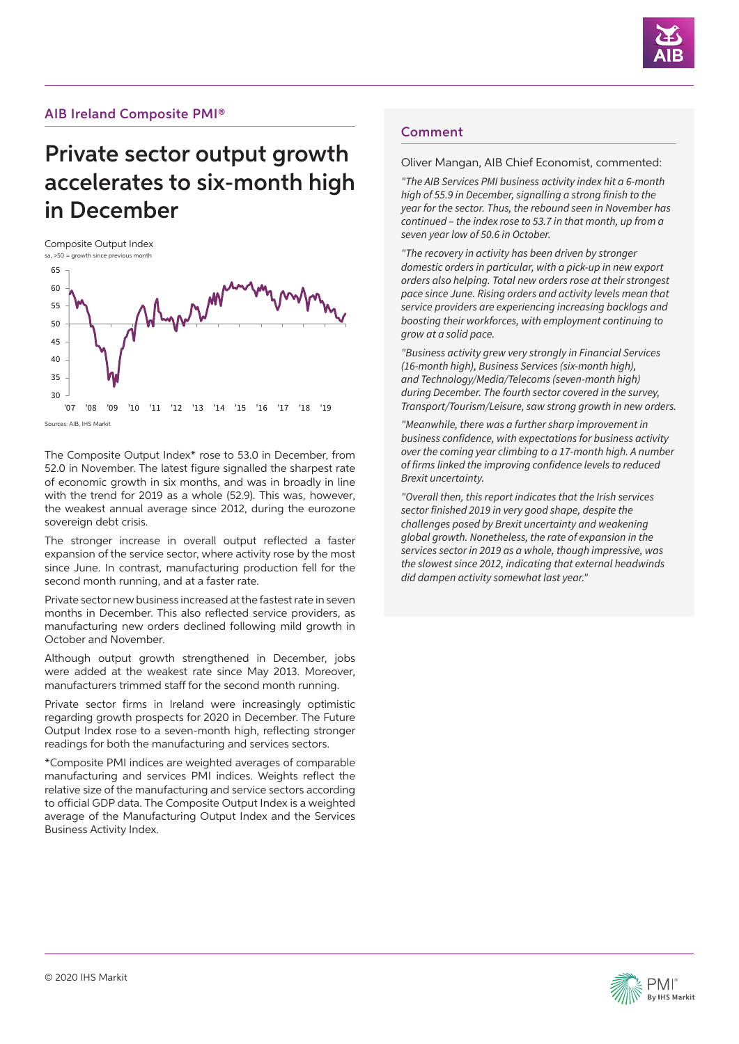

## AIB Ireland Composite PMI®

## Private sector output growth accelerates to six-month high in December

Composite Output Index



Sources: AIB, IHS Markit.

The Composite Output Index\* rose to 53.0 in December, from 52.0 in November. The latest figure signalled the sharpest rate of economic growth in six months, and was in broadly in line with the trend for 2019 as a whole (52.9). This was, however, the weakest annual average since 2012, during the eurozone sovereign debt crisis.

The stronger increase in overall output reflected a faster expansion of the service sector, where activity rose by the most since June. In contrast, manufacturing production fell for the second month running, and at a faster rate.

Private sector new business increased at the fastest rate in seven months in December. This also reflected service providers, as manufacturing new orders declined following mild growth in October and November.

Although output growth strengthened in December, jobs were added at the weakest rate since May 2013. Moreover, manufacturers trimmed staff for the second month running.

Private sector firms in Ireland were increasingly optimistic regarding growth prospects for 2020 in December. The Future Output Index rose to a seven-month high, reflecting stronger readings for both the manufacturing and services sectors.

\*Composite PMI indices are weighted averages of comparable manufacturing and services PMI indices. Weights reflect the relative size of the manufacturing and service sectors according to official GDP data. The Composite Output Index is a weighted average of the Manufacturing Output Index and the Services Business Activity Index.

### Comment

Oliver Mangan, AIB Chief Economist, commented:

*"The AIB Services PMI business activity index hit a 6-month*  high of 55.9 in December, signalling a strong finish to the *year for the sector. Thus, the rebound seen in November has continued – the index rose to 53.7 in that month, up from a seven year low of 50.6 in October.* 

*"The recovery in activity has been driven by stronger domestic orders in particular, with a pick-up in new export orders also helping. Total new orders rose at their strongest pace since June. Rising orders and activity levels mean that service providers are experiencing increasing backlogs and boosting their workforces, with employment continuing to grow at a solid pace.* 

*"Business activity grew very strongly in Financial Services (16-month high), Business Services (six-month high), and Technology/Media/Telecoms (seven-month high) during December. The fourth sector covered in the survey, Transport/Tourism/Leisure, saw strong growth in new orders.* 

*"Meanwhile, there was a further sharp improvement in*  business confidence, with expectations for business activity *over the coming year climbing to a 17-month high. A number*  of firms linked the improving confidence levels to reduced *Brexit uncertainty.* 

*"Overall then, this report indicates that the Irish services*  sector finished 2019 in very good shape, despite the *challenges posed by Brexit uncertainty and weakening global growth. Nonetheless, the rate of expansion in the*  services sector in 2019 as a whole, though impressive, was the slowest since 2012, indicating that external headwinds *did dampen activity somewhat last year."*